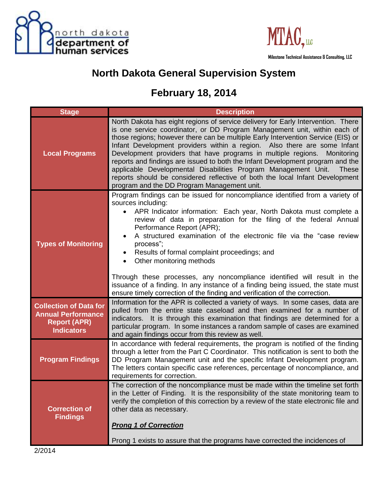



## **North Dakota General Supervision System**

## **February 18, 2014**

| <b>Stage</b>                                                                                           | <b>Description</b>                                                                                                                                                                                                                                                                                                                                                                                                                                                                                                                                                                                                                                                                                              |
|--------------------------------------------------------------------------------------------------------|-----------------------------------------------------------------------------------------------------------------------------------------------------------------------------------------------------------------------------------------------------------------------------------------------------------------------------------------------------------------------------------------------------------------------------------------------------------------------------------------------------------------------------------------------------------------------------------------------------------------------------------------------------------------------------------------------------------------|
| <b>Local Programs</b>                                                                                  | North Dakota has eight regions of service delivery for Early Intervention. There<br>is one service coordinator, or DD Program Management unit, within each of<br>those regions; however there can be multiple Early Intervention Service (EIS) or<br>Infant Development providers within a region. Also there are some Infant<br>Development providers that have programs in multiple regions.<br>Monitoring<br>reports and findings are issued to both the Infant Development program and the<br>applicable Developmental Disabilities Program Management Unit.<br><b>These</b><br>reports should be considered reflective of both the local Infant Development<br>program and the DD Program Management unit. |
| <b>Types of Monitoring</b>                                                                             | Program findings can be issued for noncompliance identified from a variety of<br>sources including:<br>APR Indicator information: Each year, North Dakota must complete a<br>$\bullet$<br>review of data in preparation for the filing of the federal Annual<br>Performance Report (APR);<br>A structured examination of the electronic file via the "case review<br>process";<br>Results of formal complaint proceedings; and<br>٠<br>Other monitoring methods<br>Through these processes, any noncompliance identified will result in the<br>issuance of a finding. In any instance of a finding being issued, the state must<br>ensure timely correction of the finding and verification of the correction.  |
| <b>Collection of Data for</b><br><b>Annual Performance</b><br><b>Report (APR)</b><br><b>Indicators</b> | Information for the APR is collected a variety of ways. In some cases, data are<br>pulled from the entire state caseload and then examined for a number of<br>indicators. It is through this examination that findings are determined for a<br>particular program. In some instances a random sample of cases are examined<br>and again findings occur from this review as well.                                                                                                                                                                                                                                                                                                                                |
| <b>Program Findings</b>                                                                                | In accordance with federal requirements, the program is notified of the finding<br>through a letter from the Part C Coordinator. This notification is sent to both the<br>DD Program Management unit and the specific Infant Development program.<br>The letters contain specific case references, percentage of noncompliance, and<br>requirements for correction.                                                                                                                                                                                                                                                                                                                                             |
| <b>Correction of</b><br><b>Findings</b>                                                                | The correction of the noncompliance must be made within the timeline set forth<br>in the Letter of Finding. It is the responsibility of the state monitoring team to<br>verify the completion of this correction by a review of the state electronic file and<br>other data as necessary.<br><b>Prong 1 of Correction</b>                                                                                                                                                                                                                                                                                                                                                                                       |
|                                                                                                        | Prong 1 exists to assure that the programs have corrected the incidences of                                                                                                                                                                                                                                                                                                                                                                                                                                                                                                                                                                                                                                     |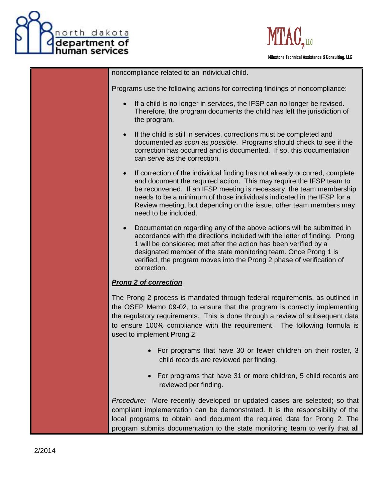



 **Milestone Technical Assistance & Consulting, LLC**

noncompliance related to an individual child.

Programs use the following actions for correcting findings of noncompliance:

- If a child is no longer in services, the IFSP can no longer be revised. Therefore, the program documents the child has left the jurisdiction of the program.
- If the child is still in services, corrections must be completed and documented *as soon as possible*. Programs should check to see if the correction has occurred and is documented. If so, this documentation can serve as the correction.
- If correction of the individual finding has not already occurred, complete and document the required action. This may require the IFSP team to be reconvened. If an IFSP meeting is necessary, the team membership needs to be a minimum of those individuals indicated in the IFSP for a Review meeting, but depending on the issue, other team members may need to be included.
- Documentation regarding any of the above actions will be submitted in accordance with the directions included with the letter of finding. Prong 1 will be considered met after the action has been verified by a designated member of the state monitoring team. Once Prong 1 is verified, the program moves into the Prong 2 phase of verification of correction.

## *Prong 2 of correction*

The Prong 2 process is mandated through federal requirements, as outlined in the OSEP Memo 09-02, to ensure that the program is correctly implementing the regulatory requirements. This is done through a review of subsequent data to ensure 100% compliance with the requirement. The following formula is used to implement Prong 2:

- For programs that have 30 or fewer children on their roster, 3 child records are reviewed per finding.
- For programs that have 31 or more children, 5 child records are reviewed per finding.

*Procedure:* More recently developed or updated cases are selected; so that compliant implementation can be demonstrated. It is the responsibility of the local programs to obtain and document the required data for Prong 2. The program submits documentation to the state monitoring team to verify that all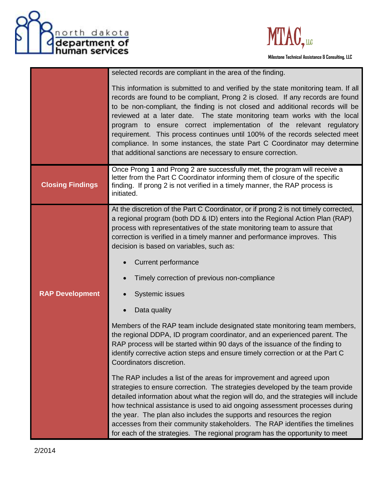



 **Milestone Technical Assistance & Consulting, LLC**

|                         | selected records are compliant in the area of the finding.                                                                                                                                                                                                                                                                                                                                                                                                                                                                                                                                                                            |
|-------------------------|---------------------------------------------------------------------------------------------------------------------------------------------------------------------------------------------------------------------------------------------------------------------------------------------------------------------------------------------------------------------------------------------------------------------------------------------------------------------------------------------------------------------------------------------------------------------------------------------------------------------------------------|
|                         | This information is submitted to and verified by the state monitoring team. If all<br>records are found to be compliant, Prong 2 is closed. If any records are found<br>to be non-compliant, the finding is not closed and additional records will be<br>reviewed at a later date. The state monitoring team works with the local<br>program to ensure correct implementation of the relevant regulatory<br>requirement. This process continues until 100% of the records selected meet<br>compliance. In some instances, the state Part C Coordinator may determine<br>that additional sanctions are necessary to ensure correction. |
| <b>Closing Findings</b> | Once Prong 1 and Prong 2 are successfully met, the program will receive a<br>letter from the Part C Coordinator informing them of closure of the specific<br>finding. If prong 2 is not verified in a timely manner, the RAP process is<br>initiated.                                                                                                                                                                                                                                                                                                                                                                                 |
|                         | At the discretion of the Part C Coordinator, or if prong 2 is not timely corrected,<br>a regional program (both DD & ID) enters into the Regional Action Plan (RAP)<br>process with representatives of the state monitoring team to assure that<br>correction is verified in a timely manner and performance improves. This<br>decision is based on variables, such as:                                                                                                                                                                                                                                                               |
|                         | <b>Current performance</b>                                                                                                                                                                                                                                                                                                                                                                                                                                                                                                                                                                                                            |
|                         | Timely correction of previous non-compliance                                                                                                                                                                                                                                                                                                                                                                                                                                                                                                                                                                                          |
| <b>RAP Development</b>  | Systemic issues                                                                                                                                                                                                                                                                                                                                                                                                                                                                                                                                                                                                                       |
|                         | Data quality                                                                                                                                                                                                                                                                                                                                                                                                                                                                                                                                                                                                                          |
|                         | Members of the RAP team include designated state monitoring team members,<br>the regional DDPA, ID program coordinator, and an experienced parent. The<br>RAP process will be started within 90 days of the issuance of the finding to<br>identify corrective action steps and ensure timely correction or at the Part C<br>Coordinators discretion.                                                                                                                                                                                                                                                                                  |
|                         | The RAP includes a list of the areas for improvement and agreed upon<br>strategies to ensure correction. The strategies developed by the team provide<br>detailed information about what the region will do, and the strategies will include<br>how technical assistance is used to aid ongoing assessment processes during<br>the year. The plan also includes the supports and resources the region<br>accesses from their community stakeholders. The RAP identifies the timelines<br>for each of the strategies. The regional program has the opportunity to meet                                                                 |